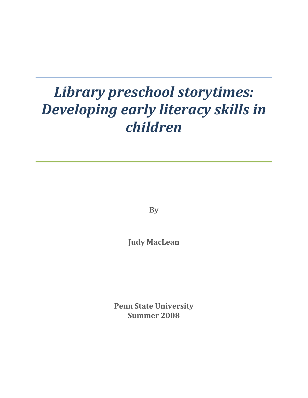# *Library preschool storytimes: Developing early literacy skills in children*

**By**

**Judy MacLean**

**Penn State University Summer 2008**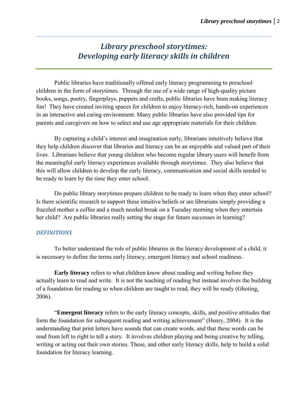## *Library preschool storytimes: Developing early literacy skills in children*

Public libraries have traditionally offered early literacy programming to preschool children in the form of storytimes. Through the use of a wide range of high-quality picture books, songs, poetry, fingerplays, puppets and crafts, public libraries have been making literacy fun! They have created inviting spaces for children to enjoy literacy-rich, hands-on experiences in an interactive and caring environment. Many public libraries have also provided tips for parents and caregivers on how to select and use age appropriate materials for their children.

By capturing a child's interest and imagination early, librarians intuitively believe that they help children discover that libraries and literacy can be an enjoyable and valued part of their lives. Librarians believe that young children who become regular library users will benefit from the meaningful early literacy experiences available through storytimes. They also believe that this will allow children to develop the early literacy, communication and social skills needed to be ready to learn by the time they enter school.

Do public library storytimes prepare children to be ready to learn when they enter school? Is there scientific research to support these intuitive beliefs or are librarians simply providing a frazzled mother a coffee and a much needed break on a Tuesday morning when they entertain her child? Are public libraries really setting the stage for future successes in learning?

#### *DEFINITIONS*

 To better understand the role of public libraries in the literacy development of a child, it is necessary to define the terms early literacy, emergent literacy and school readiness.

**Early literacy** refers to what children know about reading and writing before they actually learn to read and write. It is not the teaching of reading but instead involves the building of a foundation for reading so when children are taught to read, they will be ready (Ghoting, 2006).

 "**Emergent literacy** refers to the early literacy concepts, skills, and positive attitudes that form the foundation for subsequent reading and writing achievement" (Henry, 2004). It is the understanding that print letters have sounds that can create words, and that these words can be read from left to right to tell a story. It involves children playing and being creative by telling, writing or acting out their own stories. These, and other early literacy skills, help to build a solid foundation for literacy learning.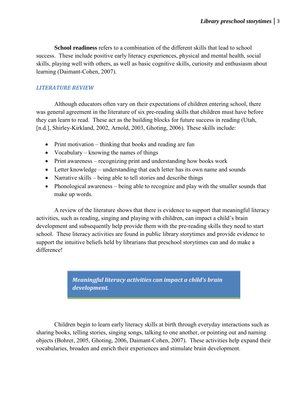**School readiness** refers to a combination of the different skills that lead to school success. These include positive early literacy experiences, physical and mental health, social skills, playing well with others, as well as basic cognitive skills, curiosity and enthusiasm about learning (Daimant-Cohen, 2007).

### *LITERATURE REVIEW*

 Although educators often vary on their expectations of children entering school, there was general agreement in the literature of six pre-reading skills that children must have before they can learn to read. These act as the building blocks for future success in reading (Utah, [n.d.], Shirley-Kirkland, 2002, Arnold, 2003, Ghoting, 2006). These skills include:

- Print motivation thinking that books and reading are fun
- Vocabulary knowing the names of things
- Print awareness recognizing print and understanding how books work
- Letter knowledge understanding that each letter has its own name and sounds
- Narrative skills being able to tell stories and describe things
- Phonological awareness being able to recognize and play with the smaller sounds that make up words.

A review of the literature shows that there is evidence to support that meaningful literacy activities, such as reading, singing and playing with children, can impact a child's brain development and subsequently help provide them with the pre-reading skills they need to start school. These literacy activities are found in public library storytimes and provide evidence to support the intuitive beliefs held by librarians that preschool storytimes can and do make a difference!

> *Meaningful literacy activities can impact a child's brain development.*

Children begin to learn early literacy skills at birth through everyday interactions such as sharing books, telling stories, singing songs, talking to one another, or pointing out and naming objects (Bohrer, 2005, Ghoting, 2006, Daimant-Cohen, 2007). These activities help expand their vocabularies, broaden and enrich their experiences and stimulate brain development.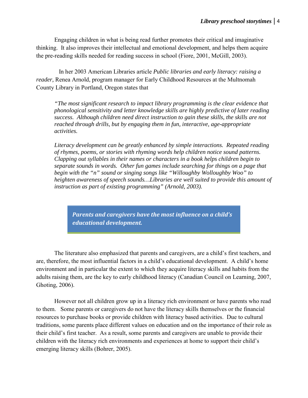Engaging children in what is being read further promotes their critical and imaginative thinking. It also improves their intellectual and emotional development, and helps them acquire the pre-reading skills needed for reading success in school (Fiore, 2001, McGill, 2003).

 In her 2003 American Libraries article *Public libraries and early literacy: raising a reader,* Renea Arnold, program manager for Early Childhood Resources at the Multnomah County Library in Portland, Oregon states that

*"The most significant research to impact library programming is the clear evidence that phonological sensitivity and letter knowledge skills are highly predictive of later reading success. Although children need direct instruction to gain these skills, the skills are not reached through drills, but by engaging them in fun, interactive, age-appropriate activities.*

*Literacy development can be greatly enhanced by simple interactions. Repeated reading of rhymes, poems, or stories with rhyming words help children notice sound patterns. Clapping out syllables in their names or characters in a book helps children begin to separate sounds in words. Other fun games include searching for things on a page that begin with the "n" sound or singing songs like "Willoughby Wolloughby Woo" to heighten awareness of speech sounds…Libraries are well suited to provide this amount of instruction as part of existing programming" (Arnold, 2003).* 

*Parents and caregivers have the most influence on a child's educational development.* 

The literature also emphasized that parents and caregivers, are a child's first teachers, and are, therefore, the most influential factors in a child's educational development. A child's home environment and in particular the extent to which they acquire literacy skills and habits from the adults raising them, are the key to early childhood literacy (Canadian Council on Learning, 2007, Ghoting, 2006).

However not all children grow up in a literacy rich environment or have parents who read to them. Some parents or caregivers do not have the literacy skills themselves or the financial resources to purchase books or provide children with literacy based activities. Due to cultural traditions, some parents place different values on education and on the importance of their role as their child's first teacher. As a result, some parents and caregivers are unable to provide their children with the literacy rich environments and experiences at home to support their child's emerging literacy skills (Bohrer, 2005).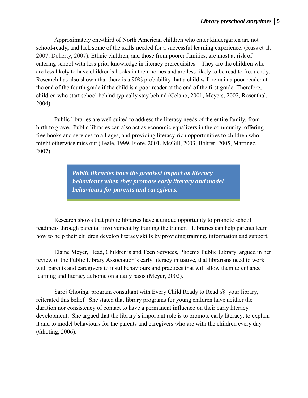Approximately one-third of North American children who enter kindergarten are not school-ready, and lack some of the skills needed for a successful learning experience. (Russ et al. 2007, Doherty, 2007). Ethnic children, and those from poorer families, are most at risk of entering school with less prior knowledge in literacy prerequisites. They are the children who are less likely to have children's books in their homes and are less likely to be read to frequently. Research has also shown that there is a 90% probability that a child will remain a poor reader at the end of the fourth grade if the child is a poor reader at the end of the first grade. Therefore, children who start school behind typically stay behind (Celano, 2001, Meyers, 2002, Rosenthal, 2004).

Public libraries are well suited to address the literacy needs of the entire family, from birth to grave. Public libraries can also act as economic equalizers in the community, offering free books and services to all ages, and providing literacy-rich opportunities to children who might otherwise miss out (Teale, 1999, Fiore, 2001, McGill, 2003, Bohrer, 2005, Martinez, 2007).

> *Public libraries have the greatest impact on literacy behaviours when they promote early literacy and model behaviours for parents and caregivers.*

Research shows that public libraries have a unique opportunity to promote school readiness through parental involvement by training the trainer. Libraries can help parents learn how to help their children develop literacy skills by providing training, information and support.

Elaine Meyer, Head, Children's and Teen Services, Phoenix Public Library, argued in her review of the Public Library Association's early literacy initiative, that librarians need to work with parents and caregivers to instil behaviours and practices that will allow them to enhance learning and literacy at home on a daily basis (Meyer, 2002).

Saroj Ghoting, program consultant with Every Child Ready to Read  $(a)$  your library, reiterated this belief. She stated that library programs for young children have neither the duration nor consistency of contact to have a permanent influence on their early literacy development. She argued that the library's important role is to promote early literacy, to explain it and to model behaviours for the parents and caregivers who are with the children every day (Ghoting, 2006).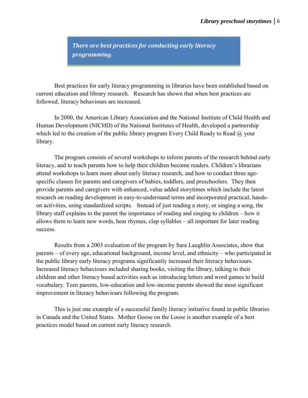*There are best practices for conducting early literacy programming.*

Best practices for early literacy programming in libraries have been established based on current education and library research. Research has shown that when best practices are followed, literacy behaviours are increased.

In 2000, the American Library Association and the National Institute of Child Health and Human Development (NICHD) of the National Institutes of Health, developed a partnership which led to the creation of the public library program Every Child Ready to Read  $\omega$ , your library.

The program consists of several workshops to inform parents of the research behind early literacy, and to teach parents how to help their children become readers. Children's librarians attend workshops to learn more about early literacy research, and how to conduct three agespecific classes for parents and caregivers of babies, toddlers, and preschoolers. They then provide parents and caregivers with enhanced, value added storytimes which include the latest research on reading development in easy-to-understand terms and incorporated practical, handson activities, using standardized scripts. Instead of just reading a story, or singing a song, the library staff explains to the parent the importance of reading and singing to children – how it allows them to learn new words, hear rhymes, clap syllables – all important for later reading success.

Results from a 2003 evaluation of the program by Sara Laughlin Associates, show that parents – of every age, educational background, income level, and ethnicity – who participated in the public library early literacy programs significantly increased their literacy behaviours. Increased literacy behaviours included sharing books, visiting the library, talking to their children and other literacy based activities such as introducing letters and word games to build vocabulary. Teen parents, low-education and low-income parents showed the most significant improvement in literacy behaviours following the program.

This is just one example of a successful family literacy initiative found in public libraries in Canada and the United States. Mother Goose on the Loose is another example of a best practices model based on current early literacy research.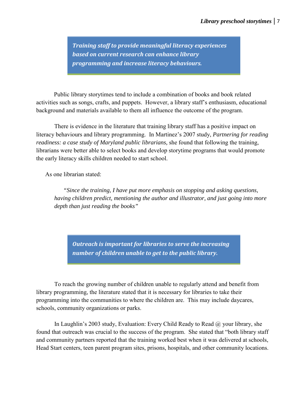*Training staff to provide meaningful literacy experiences based on current research can enhance library programming and increase literacy behaviours.* 

Public library storytimes tend to include a combination of books and book related activities such as songs, crafts, and puppets. However, a library staff's enthusiasm, educational background and materials available to them all influence the outcome of the program.

There is evidence in the literature that training library staff has a positive impact on literacy behaviours and library programming. In Martinez's 2007 study, *Partnering for reading readiness: a case study of Maryland public librarians,* she found that following the training, librarians were better able to select books and develop storytime programs that would promote the early literacy skills children needed to start school.

As one librarian stated:

*"Since the training, I have put more emphasis on stopping and asking questions, having children predict, mentioning the author and illustrator, and just going into more depth than just reading the books"* 

*Outreach is important for libraries to serve the increasing number of children unable to get to the public library.* 

To reach the growing number of children unable to regularly attend and benefit from library programming, the literature stated that it is necessary for libraries to take their programming into the communities to where the children are. This may include daycares, schools, community organizations or parks.

In Laughlin's 2003 study, Evaluation: Every Child Ready to Read  $\omega$  your library, she found that outreach was crucial to the success of the program. She stated that "both library staff and community partners reported that the training worked best when it was delivered at schools, Head Start centers, teen parent program sites, prisons, hospitals, and other community locations.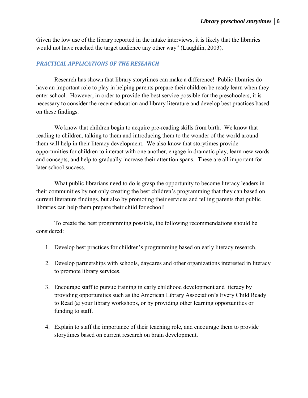Given the low use of the library reported in the intake interviews, it is likely that the libraries would not have reached the target audience any other way" (Laughlin, 2003).

#### *PRACTICAL APPLICATIONS OF THE RESEARCH*

Research has shown that library storytimes can make a difference! Public libraries do have an important role to play in helping parents prepare their children be ready learn when they enter school. However, in order to provide the best service possible for the preschoolers, it is necessary to consider the recent education and library literature and develop best practices based on these findings.

 We know that children begin to acquire pre-reading skills from birth. We know that reading to children, talking to them and introducing them to the wonder of the world around them will help in their literacy development. We also know that storytimes provide opportunities for children to interact with one another, engage in dramatic play, learn new words and concepts, and help to gradually increase their attention spans. These are all important for later school success.

 What public librarians need to do is grasp the opportunity to become literacy leaders in their communities by not only creating the best children's programming that they can based on current literature findings, but also by promoting their services and telling parents that public libraries can help them prepare their child for school!

To create the best programming possible, the following recommendations should be considered:

- 1. Develop best practices for children's programming based on early literacy research.
- 2. Develop partnerships with schools, daycares and other organizations interested in literacy to promote library services.
- 3. Encourage staff to pursue training in early childhood development and literacy by providing opportunities such as the American Library Association's Every Child Ready to Read @ your library workshops, or by providing other learning opportunities or funding to staff.
- 4. Explain to staff the importance of their teaching role, and encourage them to provide storytimes based on current research on brain development.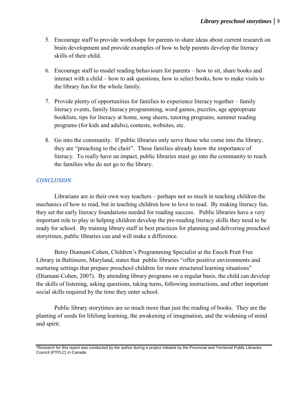- 5. Encourage staff to provide workshops for parents to share ideas about current research on brain development and provide examples of how to help parents develop the literacy skills of their child.
- 6. Encourage staff to model reading behaviours for parents how to sit, share books and interact with a child – how to ask questions, how to select books, how to make visits to the library fun for the whole family.
- 7. Provide plenty of opportunities for families to experience literacy together family literacy events, family literacy programming, word games, puzzles, age appropriate booklists, tips for literacy at home, song sheets, tutoring programs, summer reading programs (for kids and adults), contests, websites, etc.
- 8. Go into the community. If public libraries only serve those who come into the library, they are "preaching to the choir". These families already know the importance of literacy. To really have an impact, public libraries must go into the community to reach the families who do not go to the library.

#### *CONCLUSION*

Librarians are in their own way teachers – perhaps not so much in teaching children the mechanics of how to read, but in teaching children how to love to read. By making literacy fun, they set the early literacy foundations needed for reading success. Public libraries have a very important role to play in helping children develop the pre-reading literacy skills they need to be ready for school. By training library staff in best practices for planning and delivering preschool storytimes, public libraries can and will make a difference.

Betsy Diamant-Cohen, Children's Programming Specialist at the Enoch Pratt Free Library in Baltimore, Maryland, states that public libraries "offer positive environments and nurturing settings that prepare preschool children for more structured learning situations" (Diamant-Cohen, 2007). By attending library programs on a regular basis, the child can develop the skills of listening, asking questions, taking turns, following instructions, and other important social skills required by the time they enter school.

Public library storytimes are so much more than just the reading of books. They are the planting of seeds for lifelong learning, the awakening of imagination, and the widening of mind and spirit.

\*Research for this report was conducted by the author during a project initiated by the Provincial and Territorial Public Libraries Council (PTPLC) in Canada.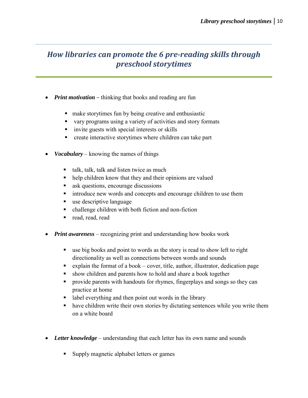## *How libraries can promote the 6 pre-reading skills through preschool storytimes*

- *Print motivation* thinking that books and reading are fun
	- make storytimes fun by being creative and enthusiastic
	- vary programs using a variety of activities and story formats
	- invite guests with special interests or skills
	- create interactive storytimes where children can take part
- *Vocabulary* knowing the names of things
	- $\blacksquare$  talk, talk, talk and listen twice as much
	- help children know that they and their opinions are valued
	- **ask questions, encourage discussions**
	- **u** introduce new words and concepts and encourage children to use them
	- use descriptive language
	- challenge children with both fiction and non-fiction
	- read, read, read
- *Print awareness* recognizing print and understanding how books work
	- use big books and point to words as the story is read to show left to right directionality as well as connections between words and sounds
	- Explain the format of a book cover, title, author, illustrator, dedication page
	- show children and parents how to hold and share a book together
	- **Perovide parents with handouts for rhymes, fingerplays and songs so they can** practice at home
	- label everything and then point out words in the library
	- have children write their own stories by dictating sentences while you write them on a white board
- *Letter knowledge* understanding that each letter has its own name and sounds
	- Supply magnetic alphabet letters or games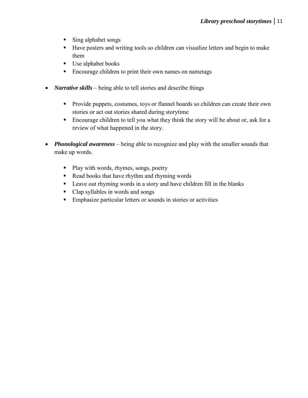- Sing alphabet songs
- Have posters and writing tools so children can visualize letters and begin to make them
- Use alphabet books
- **Encourage children to print their own names on nametags**
- *Narrative skills* being able to tell stories and describe things
	- **Provide puppets, costumes, toys or flannel boards so children can create their own** stories or act out stories shared during storytime
	- Encourage children to tell you what they think the story will be about or, ask for a review of what happened in the story.
- *Phonological awareness* being able to recognize and play with the smaller sounds that make up words.
	- Play with words, rhymes, songs, poetry
	- Read books that have rhythm and rhyming words
	- **Example 1** Leave out rhyming words in a story and have children fill in the blanks
	- Clap syllables in words and songs
	- Emphasize particular letters or sounds in stories or activities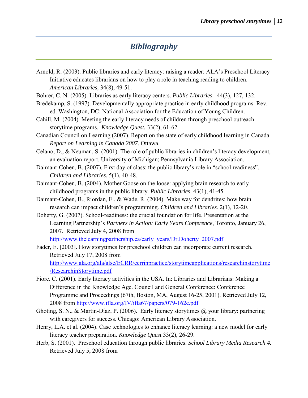## *Bibliography*

- Arnold, R. (2003). Public libraries and early literacy: raising a reader: ALA's Preschool Literacy Initiative educates librarians on how to play a role in teaching reading to children. *American Libraries,* 34(8), 49-51.
- Bohrer, C. N. (2005). Libraries as early literacy centers. *Public Libraries.* 44(3), 127, 132.
- Bredekamp, S. (1997). Developmentally appropriate practice in early childhood programs. Rev. ed. Washington, DC: National Association for the Education of Young Children.
- Cahill, M. (2004). Meeting the early literacy needs of children through preschool outreach storytime programs. *Knowledge Quest.* 33(2), 61-62.

Canadian Council on Learning (2007). Report on the state of early childhood learning in Canada. *Report on Learning in Canada 2007*. Ottawa.

- Celano, D., & Neuman, S. (2001). The role of public libraries in children's literacy development, an evaluation report. University of Michigan; Pennsylvania Library Association.
- Daimant-Cohen, B. (2007). First day of class: the public library's role in "school readiness". *Children and Libraries.* 5(1), 40-48.
- Daimant-Cohen, B. (2004). Mother Goose on the loose: applying brain research to early childhood programs in the public library. *Public Libraries*. 43(1), 41-45.
- Daimant-Cohen, B., Riordan, E., & Wade, R. (2004). Make way for dendrites: how brain research can impact children's programming. *Children and Libraries.* 2(1), 12-20.
- Doherty, G. (2007). School-readiness: the crucial foundation for life. Presentation at the Learning Partnership's *Partners in Action: Early Years Conference*, Toronto, January 26, 2007. Retrieved July 4, 2008 from [http://www.thelearningpartnership.ca/early\\_years/Dr.Doherty\\_2007.pdf](http://www.thelearningpartnership.ca/early_years/Dr.Doherty_2007.pdf)
- Fader, E. [2003]. How storytimes for preschool children can incorporate current research. Retrieved July 17, 2008 from [http://www.ala.org/ala/alsc/ECRR/ecrrinpractice/storytimeapplications/researchinstorytime](http://www.ala.org/ala/alsc/ECRR/ecrrinpractice/storytimeapplications/researchinstorytime/ResearchinStorytime.pdf) [/ResearchinStorytime.pdf](http://www.ala.org/ala/alsc/ECRR/ecrrinpractice/storytimeapplications/researchinstorytime/ResearchinStorytime.pdf)
- Fiore. C. (2001). Early literacy activities in the USA. In: Libraries and Librarians: Making a Difference in the Knowledge Age. Council and General Conference: Conference Programme and Proceedings (67th, Boston, MA, August 16-25, 2001). Retrieved July 12, 2008 from<http://www.ifla.org/IV/ifla67/papers/079-162e.pdf>
- Ghoting, S. N., & Martin-Díaz, P. (2006). Early literacy storytimes @ your library: partnering with caregivers for success. Chicago: American Library Association.
- Henry, L.A. et al. (2004). Case technologies to enhance literacy learning: a new model for early literacy teacher preparation. *Knowledge Quest* 33(2), 26-29.
- Herb, S. (2001). Preschool education through public libraries. *School Library Media Research 4.*  Retrieved July 5, 2008 from